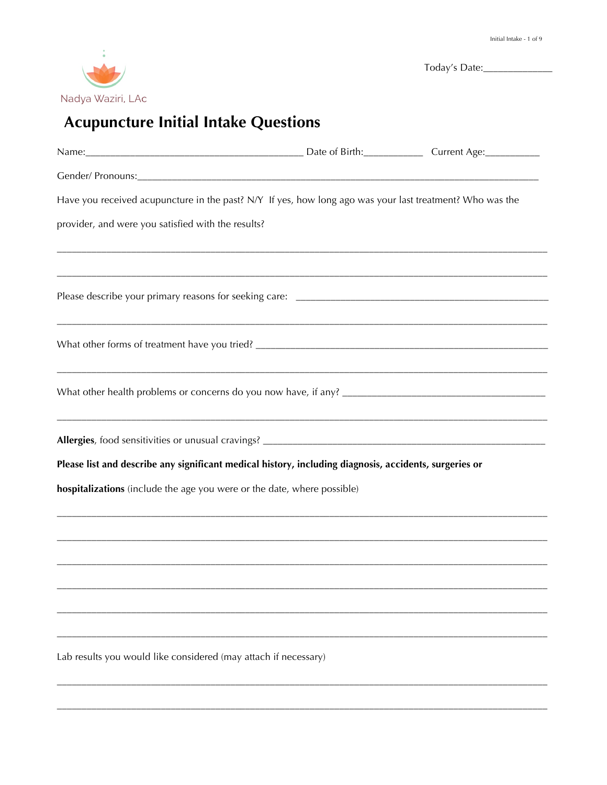

|                                                                                                          | Today's Date: |
|----------------------------------------------------------------------------------------------------------|---------------|
| Nadya Waziri, LAc                                                                                        |               |
| <b>Acupuncture Initial Intake Questions</b>                                                              |               |
|                                                                                                          |               |
|                                                                                                          |               |
|                                                                                                          |               |
| Have you received acupuncture in the past? N/Y If yes, how long ago was your last treatment? Who was the |               |
| provider, and were you satisfied with the results?                                                       |               |
|                                                                                                          |               |
|                                                                                                          |               |
|                                                                                                          |               |
|                                                                                                          |               |
|                                                                                                          |               |
|                                                                                                          |               |
|                                                                                                          |               |
|                                                                                                          |               |
| Please list and describe any significant medical history, including diagnosis, accidents, surgeries or   |               |
| hospitalizations (include the age you were or the date, where possible)                                  |               |
|                                                                                                          |               |
|                                                                                                          |               |
|                                                                                                          |               |
|                                                                                                          |               |
|                                                                                                          |               |
|                                                                                                          |               |
|                                                                                                          |               |
| Lab results you would like considered (may attach if necessary)                                          |               |
|                                                                                                          |               |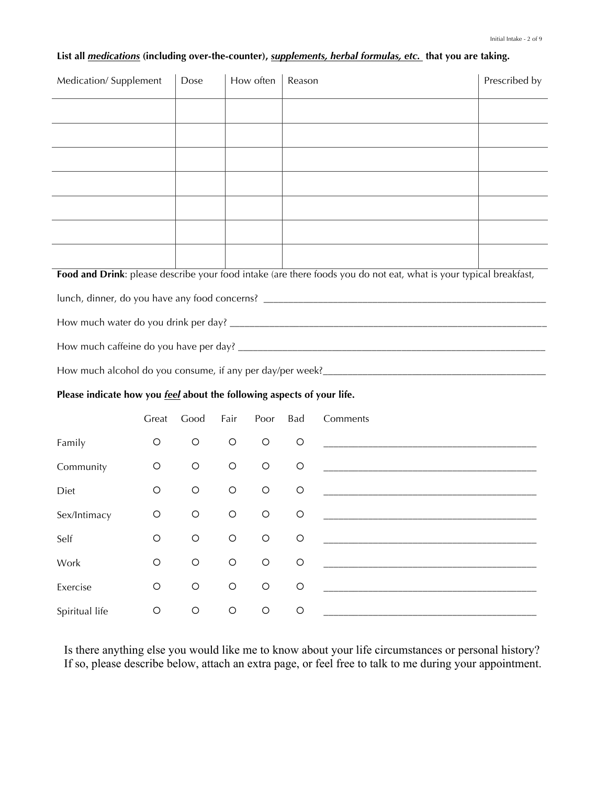|  |  |  | List all <i>medications</i> (including over-the-counter), <i>supplements, herbal formulas, etc</i> . that you are taking. |  |  |  |  |  |  |
|--|--|--|---------------------------------------------------------------------------------------------------------------------------|--|--|--|--|--|--|
|--|--|--|---------------------------------------------------------------------------------------------------------------------------|--|--|--|--|--|--|

| Medication/Supplement                                                         |            | Dose       |            | How often  | Reason     |                                                                                                                   | Prescribed by |
|-------------------------------------------------------------------------------|------------|------------|------------|------------|------------|-------------------------------------------------------------------------------------------------------------------|---------------|
|                                                                               |            |            |            |            |            |                                                                                                                   |               |
|                                                                               |            |            |            |            |            |                                                                                                                   |               |
|                                                                               |            |            |            |            |            |                                                                                                                   |               |
|                                                                               |            |            |            |            |            |                                                                                                                   |               |
|                                                                               |            |            |            |            |            |                                                                                                                   |               |
|                                                                               |            |            |            |            |            |                                                                                                                   |               |
|                                                                               |            |            |            |            |            |                                                                                                                   |               |
|                                                                               |            |            |            |            |            | Food and Drink: please describe your food intake (are there foods you do not eat, what is your typical breakfast, |               |
|                                                                               |            |            |            |            |            |                                                                                                                   |               |
|                                                                               |            |            |            |            |            |                                                                                                                   |               |
|                                                                               |            |            |            |            |            |                                                                                                                   |               |
|                                                                               |            |            |            |            |            |                                                                                                                   |               |
| Please indicate how you <i>feel</i> about the following aspects of your life. |            |            |            |            |            |                                                                                                                   |               |
|                                                                               | Great      | Good       | Fair       | Poor       | Bad        | Comments                                                                                                          |               |
| Family                                                                        | O          | O          | $\circ$    | O          | $\circ$    |                                                                                                                   |               |
| Community                                                                     | O          | O          | $\circ$    | O          | $\circ$    |                                                                                                                   |               |
| Diet                                                                          | O          | O          | $\circ$    | O          | $\circ$    |                                                                                                                   |               |
| Sex/Intimacy                                                                  | $\circ$    | $\circ$    | $\circ$    | $\circ$    | $\circ$    |                                                                                                                   |               |
| Self                                                                          | $\bigcirc$ | $\bigcirc$ | $\circ$    | $\bigcirc$ | $\circ$    |                                                                                                                   |               |
| Work                                                                          | $\bigcirc$ | $\bigcirc$ | $\bigcirc$ | $\bigcirc$ | $\bigcirc$ |                                                                                                                   |               |
| Exercise                                                                      | $\bigcirc$ | $\bigcirc$ | $\bigcirc$ | $\bigcirc$ | $\bigcirc$ |                                                                                                                   |               |
| Spiritual life                                                                | $\bigcirc$ | $\bigcirc$ | $\bigcirc$ | $\bigcirc$ | $\bigcirc$ |                                                                                                                   |               |

Is there anything else you would like me to know about your life circumstances or personal history? If so, please describe below, attach an extra page, or feel free to talk to me during your appointment.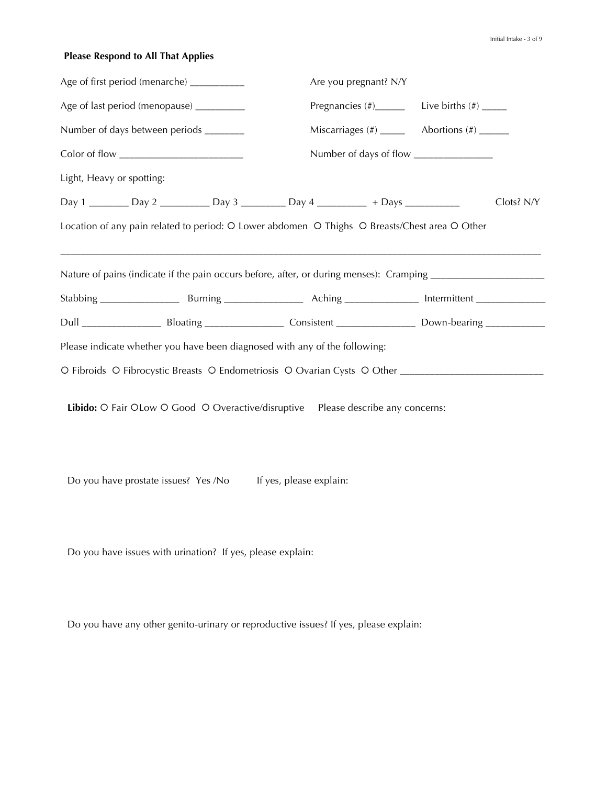# **Please Respond to All That Applies**

| Age of first period (menarche) ___________ |  |                                                                                                                |                                             | Are you pregnant? N/Y |  |            |  |
|--------------------------------------------|--|----------------------------------------------------------------------------------------------------------------|---------------------------------------------|-----------------------|--|------------|--|
| Age of last period (menopause) __________  |  |                                                                                                                | Pregnancies $(\#)$ Live births $(\#)$ _____ |                       |  |            |  |
| Number of days between periods _______     |  |                                                                                                                |                                             |                       |  |            |  |
|                                            |  |                                                                                                                |                                             |                       |  |            |  |
| Light, Heavy or spotting:                  |  |                                                                                                                |                                             |                       |  |            |  |
|                                            |  | Day 1 ____________ Day 2 _______________ Day 3 ______________ Day 4 _____________ + Days ___________           |                                             |                       |  | Clots? N/Y |  |
|                                            |  | Location of any pain related to period: O Lower abdomen O Thighs O Breasts/Chest area O Other                  |                                             |                       |  |            |  |
|                                            |  | Nature of pains (indicate if the pain occurs before, after, or during menses): Cramping ______________________ |                                             |                       |  |            |  |
|                                            |  |                                                                                                                |                                             |                       |  |            |  |
|                                            |  | Please indicate whether you have been diagnosed with any of the following:                                     |                                             |                       |  |            |  |
|                                            |  |                                                                                                                |                                             |                       |  |            |  |
|                                            |  | Libido: O Fair OLow O Good O Overactive/disruptive Please describe any concerns:                               |                                             |                       |  |            |  |

Do you have prostate issues? Yes /No If yes, please explain:

Do you have issues with urination? If yes, please explain:

Do you have any other genito-urinary or reproductive issues? If yes, please explain: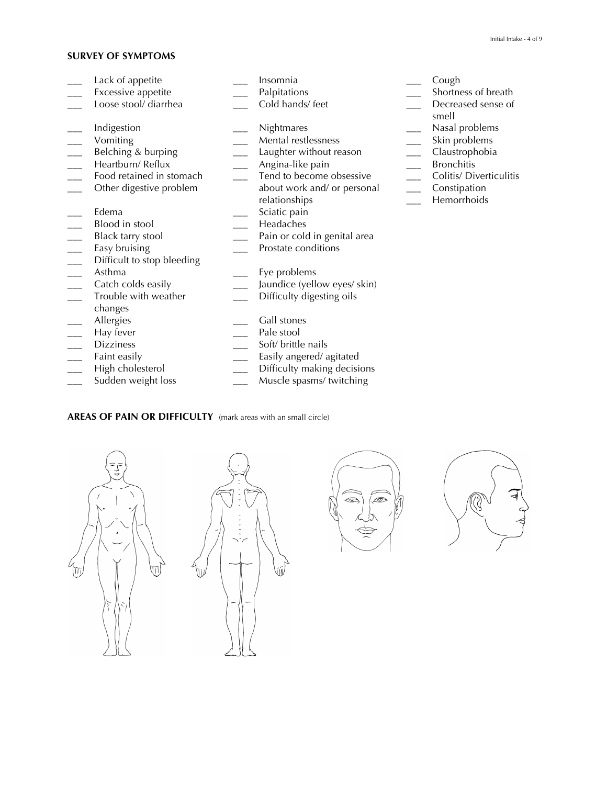# **SURVEY OF SYMPTOMS**

| Lack of appetite           | Insomnia                     | Cough                  |
|----------------------------|------------------------------|------------------------|
| Excessive appetite         | Palpitations                 | Shortness of b         |
| Loose stool/ diarrhea      | Cold hands/feet              | Decreased ser<br>smell |
| Indigestion                | Nightmares                   | Nasal problem          |
| Vomiting                   | Mental restlessness          | Skin problems          |
| Belching & burping         | Laughter without reason      | Claustrophobi          |
| Heartburn/Reflux           | Angina-like pain             | <b>Bronchitis</b>      |
| Food retained in stomach   | Tend to become obsessive     | Colitis/ Diverti       |
| Other digestive problem    | about work and/ or personal  | Constipation           |
|                            | relationships                | Hemorrhoids            |
| Edema                      | Sciatic pain                 |                        |
| Blood in stool             | Headaches                    |                        |
| Black tarry stool          | Pain or cold in genital area |                        |
| Easy bruising              | Prostate conditions          |                        |
| Difficult to stop bleeding |                              |                        |
| Asthma                     | Eye problems                 |                        |
| Catch colds easily         | Jaundice (yellow eyes/ skin) |                        |
| Trouble with weather       | Difficulty digesting oils    |                        |
| changes                    |                              |                        |
| Allergies                  | Gall stones                  |                        |
| Hay fever                  | Pale stool                   |                        |
| <b>Dizziness</b>           | Soft/ brittle nails          |                        |
| Faint easily               | Easily angered/agitated      |                        |
| High cholesterol           | Difficulty making decisions  |                        |

**AREAS OF PAIN OR DIFFICULTY** (mark areas with an small circle)





Sudden weight loss \_\_\_\_\_\_\_\_\_\_\_\_\_\_\_ Muscle spasms/ twitching





- 
- -<br>tness of breath
- reased sense of

- 
- al problems<br>problems
- .<br>istrophobia<br>ichitis
- 
- tis/ Diverticulitis
- stipation
- **norrhoids**

Initial Intake - 4 of 9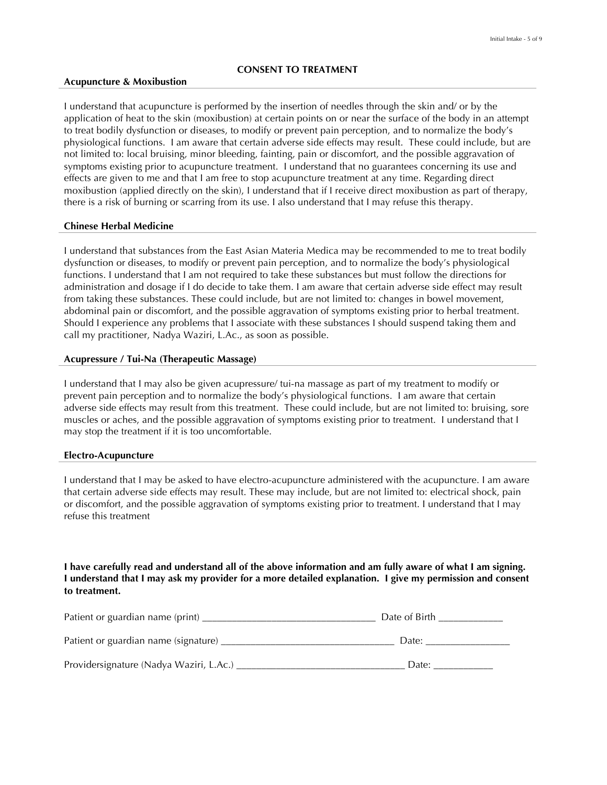#### **Acupuncture & Moxibustion**

I understand that acupuncture is performed by the insertion of needles through the skin and/ or by the application of heat to the skin (moxibustion) at certain points on or near the surface of the body in an attempt to treat bodily dysfunction or diseases, to modify or prevent pain perception, and to normalize the body's physiological functions. I am aware that certain adverse side effects may result. These could include, but are not limited to: local bruising, minor bleeding, fainting, pain or discomfort, and the possible aggravation of symptoms existing prior to acupuncture treatment. I understand that no guarantees concerning its use and effects are given to me and that I am free to stop acupuncture treatment at any time. Regarding direct moxibustion (applied directly on the skin), I understand that if I receive direct moxibustion as part of therapy, there is a risk of burning or scarring from its use. I also understand that I may refuse this therapy.

#### **Chinese Herbal Medicine**

I understand that substances from the East Asian Materia Medica may be recommended to me to treat bodily dysfunction or diseases, to modify or prevent pain perception, and to normalize the body's physiological functions. I understand that I am not required to take these substances but must follow the directions for administration and dosage if I do decide to take them. I am aware that certain adverse side effect may result from taking these substances. These could include, but are not limited to: changes in bowel movement, abdominal pain or discomfort, and the possible aggravation of symptoms existing prior to herbal treatment. Should I experience any problems that I associate with these substances I should suspend taking them and call my practitioner, Nadya Waziri, L.Ac., as soon as possible.

#### **Acupressure / Tui-Na (Therapeutic Massage)**

I understand that I may also be given acupressure/ tui-na massage as part of my treatment to modify or prevent pain perception and to normalize the body's physiological functions. I am aware that certain adverse side effects may result from this treatment. These could include, but are not limited to: bruising, sore muscles or aches, and the possible aggravation of symptoms existing prior to treatment. I understand that I may stop the treatment if it is too uncomfortable.

#### **Electro-Acupuncture**

I understand that I may be asked to have electro-acupuncture administered with the acupuncture. I am aware that certain adverse side effects may result. These may include, but are not limited to: electrical shock, pain or discomfort, and the possible aggravation of symptoms existing prior to treatment. I understand that I may refuse this treatment

## **I have carefully read and understand all of the above information and am fully aware of what I am signing. I understand that I may ask my provider for a more detailed explanation. I give my permission and consent to treatment.**

| Patient or guardian name (print)        | Date of Birth |
|-----------------------------------------|---------------|
| Patient or guardian name (signature)    | Date:         |
| Providersignature (Nadya Waziri, L.Ac.) | Date:         |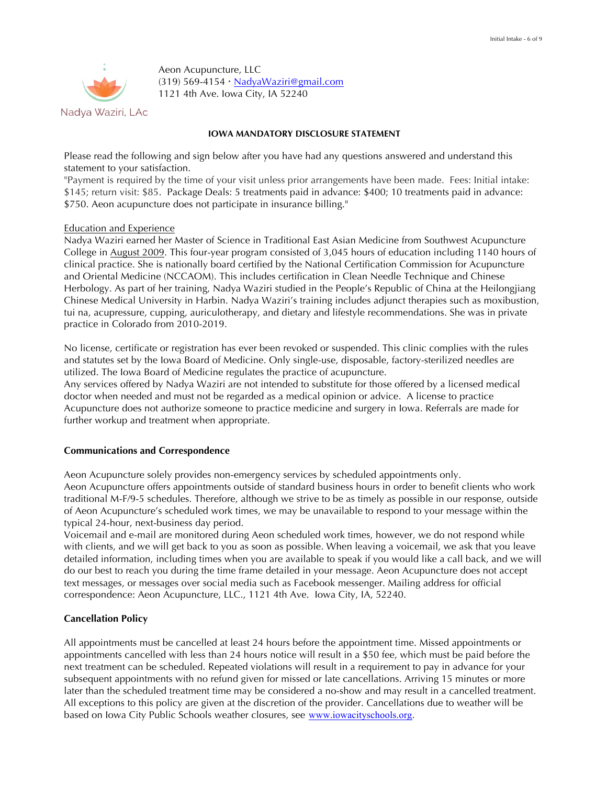

Aeon Acupuncture, LLC (319) 569-4154 NadyaWaziri@gmail.com 1121 4th Ave. Iowa City, IA 52240

#### **IOWA MANDATORY DISCLOSURE STATEMENT**

Please read the following and sign below after you have had any questions answered and understand this statement to your satisfaction.

"Payment is required by the time of your visit unless prior arrangements have been made. Fees: Initial intake: \$145; return visit: \$85. Package Deals: 5 treatments paid in advance: \$400; 10 treatments paid in advance: \$750. Aeon acupuncture does not participate in insurance billing."

#### Education and Experience

Nadya Waziri earned her Master of Science in Traditional East Asian Medicine from Southwest Acupuncture College in August 2009. This four-year program consisted of 3,045 hours of education including 1140 hours of clinical practice. She is nationally board certified by the National Certification Commission for Acupuncture and Oriental Medicine (NCCAOM). This includes certification in Clean Needle Technique and Chinese Herbology. As part of her training, Nadya Waziri studied in the People's Republic of China at the Heilongjiang Chinese Medical University in Harbin. Nadya Waziri's training includes adjunct therapies such as moxibustion, tui na, acupressure, cupping, auriculotherapy, and dietary and lifestyle recommendations. She was in private practice in Colorado from 2010-2019.

No license, certificate or registration has ever been revoked or suspended. This clinic complies with the rules and statutes set by the Iowa Board of Medicine. Only single-use, disposable, factory-sterilized needles are utilized. The Iowa Board of Medicine regulates the practice of acupuncture.

Any services offered by Nadya Waziri are not intended to substitute for those offered by a licensed medical doctor when needed and must not be regarded as a medical opinion or advice. A license to practice Acupuncture does not authorize someone to practice medicine and surgery in Iowa. Referrals are made for further workup and treatment when appropriate.

### **Communications and Correspondence**

Aeon Acupuncture solely provides non-emergency services by scheduled appointments only. Aeon Acupuncture offers appointments outside of standard business hours in order to benefit clients who work traditional M-F/9-5 schedules. Therefore, although we strive to be as timely as possible in our response, outside of Aeon Acupuncture's scheduled work times, we may be unavailable to respond to your message within the typical 24-hour, next-business day period.

Voicemail and e-mail are monitored during Aeon scheduled work times, however, we do not respond while with clients, and we will get back to you as soon as possible. When leaving a voicemail, we ask that you leave detailed information, including times when you are available to speak if you would like a call back, and we will do our best to reach you during the time frame detailed in your message. Aeon Acupuncture does not accept text messages, or messages over social media such as Facebook messenger. Mailing address for official correspondence: Aeon Acupuncture, LLC., 1121 4th Ave. Iowa City, IA, 52240.

### **Cancellation Policy**

All appointments must be cancelled at least 24 hours before the appointment time. Missed appointments or appointments cancelled with less than 24 hours notice will result in a \$50 fee, which must be paid before the next treatment can be scheduled. Repeated violations will result in a requirement to pay in advance for your subsequent appointments with no refund given for missed or late cancellations. Arriving 15 minutes or more later than the scheduled treatment time may be considered a no-show and may result in a cancelled treatment. All exceptions to this policy are given at the discretion of the provider. Cancellations due to weather will be based on Iowa City Public Schools weather closures, see www.iowacityschools.org.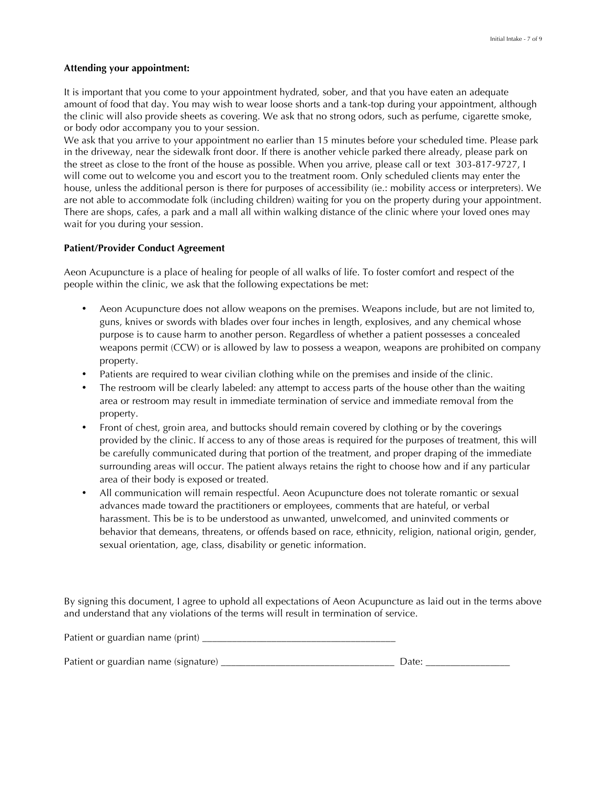#### **Attending your appointment:**

It is important that you come to your appointment hydrated, sober, and that you have eaten an adequate amount of food that day. You may wish to wear loose shorts and a tank-top during your appointment, although the clinic will also provide sheets as covering. We ask that no strong odors, such as perfume, cigarette smoke, or body odor accompany you to your session.

We ask that you arrive to your appointment no earlier than 15 minutes before your scheduled time. Please park in the driveway, near the sidewalk front door. If there is another vehicle parked there already, please park on the street as close to the front of the house as possible. When you arrive, please call or text 303-817-9727, I will come out to welcome you and escort you to the treatment room. Only scheduled clients may enter the house, unless the additional person is there for purposes of accessibility (ie.: mobility access or interpreters). We are not able to accommodate folk (including children) waiting for you on the property during your appointment. There are shops, cafes, a park and a mall all within walking distance of the clinic where your loved ones may wait for you during your session.

#### **Patient/Provider Conduct Agreement**

Aeon Acupuncture is a place of healing for people of all walks of life. To foster comfort and respect of the people within the clinic, we ask that the following expectations be met:

- Aeon Acupuncture does not allow weapons on the premises. Weapons include, but are not limited to, guns, knives or swords with blades over four inches in length, explosives, and any chemical whose purpose is to cause harm to another person. Regardless of whether a patient possesses a concealed weapons permit (CCW) or is allowed by law to possess a weapon, weapons are prohibited on company property.
- Patients are required to wear civilian clothing while on the premises and inside of the clinic.
- The restroom will be clearly labeled: any attempt to access parts of the house other than the waiting area or restroom may result in immediate termination of service and immediate removal from the property.
- Front of chest, groin area, and buttocks should remain covered by clothing or by the coverings provided by the clinic. If access to any of those areas is required for the purposes of treatment, this will be carefully communicated during that portion of the treatment, and proper draping of the immediate surrounding areas will occur. The patient always retains the right to choose how and if any particular area of their body is exposed or treated.
- All communication will remain respectful. Aeon Acupuncture does not tolerate romantic or sexual advances made toward the practitioners or employees, comments that are hateful, or verbal harassment. This be is to be understood as unwanted, unwelcomed, and uninvited comments or behavior that demeans, threatens, or offends based on race, ethnicity, religion, national origin, gender, sexual orientation, age, class, disability or genetic information.

By signing this document, I agree to uphold all expectations of Aeon Acupuncture as laid out in the terms above and understand that any violations of the terms will result in termination of service.

| Patient or guardian name (print)     |  |
|--------------------------------------|--|
| Patient or guardian name (signature) |  |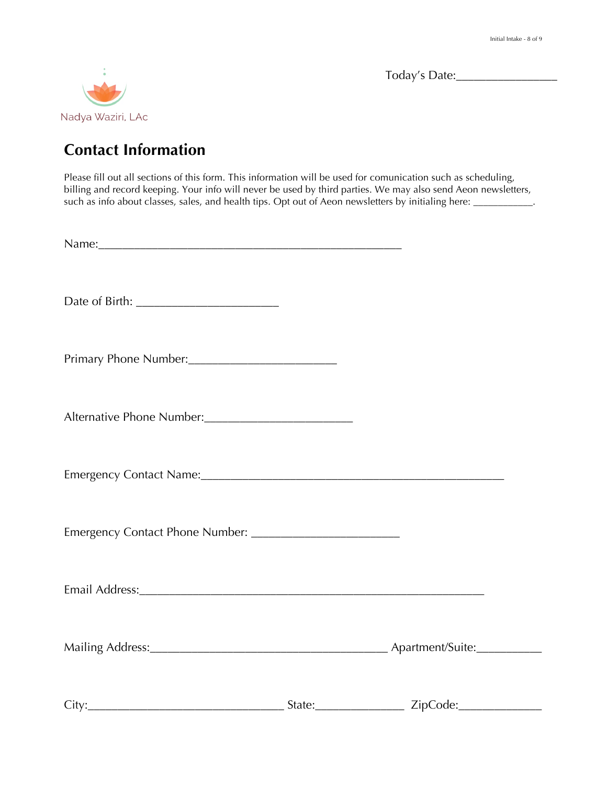

Today's Date:\_\_\_\_\_\_\_\_\_\_\_\_\_\_\_\_\_

# **Contact Information**

Please fill out all sections of this form. This information will be used for comunication such as scheduling, billing and record keeping. Your info will never be used by third parties. We may also send Aeon newsletters, such as info about classes, sales, and health tips. Opt out of Aeon newsletters by initialing here: \_\_\_\_\_\_\_\_\_\_\_\_\_.

| Primary Phone Number:     |  |
|---------------------------|--|
| Alternative Phone Number: |  |
|                           |  |
|                           |  |
|                           |  |
|                           |  |
| City:                     |  |